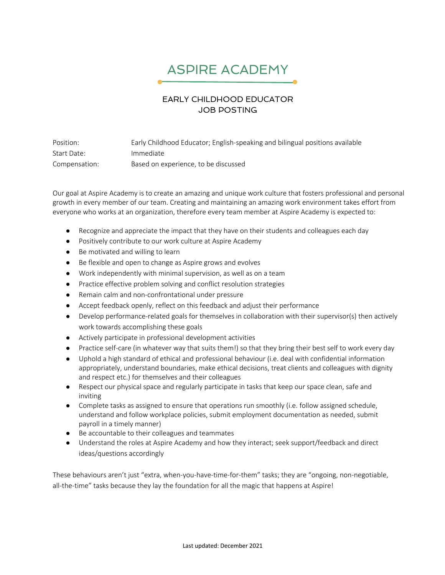## ASPIRE ACADEMY

## EARLY CHILDHOOD EDUCATOR JOB POSTING

Position: Early Childhood Educator; English-speaking and bilingual positions available Start Date: Immediate Compensation: Based on experience, to be discussed

Our goal at Aspire Academy is to create an amazing and unique work culture that fosters professional and personal growth in every member of our team. Creating and maintaining an amazing work environment takes effort from everyone who works at an organization, therefore every team member at Aspire Academy is expected to:

- Recognize and appreciate the impact that they have on their students and colleagues each day
- Positively contribute to our work culture at Aspire Academy
- Be motivated and willing to learn
- Be flexible and open to change as Aspire grows and evolves
- Work independently with minimal supervision, as well as on a team
- Practice effective problem solving and conflict resolution strategies
- Remain calm and non-confrontational under pressure
- Accept feedback openly, reflect on this feedback and adjust their performance
- Develop performance-related goals for themselves in collaboration with their supervisor(s) then actively work towards accomplishing these goals
- Actively participate in professional development activities
- Practice self-care (in whatever way that suits them!) so that they bring their best self to work every day
- Uphold a high standard of ethical and professional behaviour (i.e. deal with confidential information appropriately, understand boundaries, make ethical decisions, treat clients and colleagues with dignity and respect etc.) for themselves and their colleagues
- Respect our physical space and regularly participate in tasks that keep our space clean, safe and inviting
- Complete tasks as assigned to ensure that operations run smoothly (i.e. follow assigned schedule, understand and follow workplace policies, submit employment documentation as needed, submit payroll in a timely manner)
- Be accountable to their colleagues and teammates
- Understand the roles at Aspire Academy and how they interact; seek support/feedback and direct ideas/questions accordingly

These behaviours aren't just "extra, when-you-have-time-for-them" tasks; they are "ongoing, non-negotiable, all-the-time" tasks because they lay the foundation for all the magic that happens at Aspire!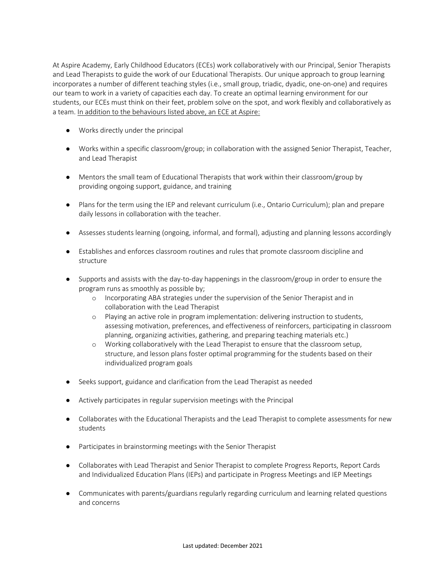At Aspire Academy, Early Childhood Educators (ECEs) work collaboratively with our Principal, Senior Therapists and Lead Therapists to guide the work of our Educational Therapists. Our unique approach to group learning incorporates a number of different teaching styles (i.e., small group, triadic, dyadic, one-on-one) and requires our team to work in a variety of capacities each day. To create an optimal learning environment for our students, our ECEs must think on their feet, problem solve on the spot, and work flexibly and collaboratively as a team. In addition to the behaviours listed above, an ECE at Aspire:

- Works directly under the principal
- Works within a specific classroom/group; in collaboration with the assigned Senior Therapist, Teacher, and Lead Therapist
- Mentors the small team of Educational Therapists that work within their classroom/group by providing ongoing support, guidance, and training
- Plans for the term using the IEP and relevant curriculum (i.e., Ontario Curriculum); plan and prepare daily lessons in collaboration with the teacher.
- Assesses students learning (ongoing, informal, and formal), adjusting and planning lessons accordingly
- Establishes and enforces classroom routines and rules that promote classroom discipline and structure
- Supports and assists with the day-to-day happenings in the classroom/group in order to ensure the program runs as smoothly as possible by;
	- o Incorporating ABA strategies under the supervision of the Senior Therapist and in collaboration with the Lead Therapist
	- o Playing an active role in program implementation: delivering instruction to students, assessing motivation, preferences, and effectiveness of reinforcers, participating in classroom planning, organizing activities, gathering, and preparing teaching materials etc.)
	- o Working collaboratively with the Lead Therapist to ensure that the classroom setup, structure, and lesson plans foster optimal programming for the students based on their individualized program goals
- Seeks support, guidance and clarification from the Lead Therapist as needed
- Actively participates in regular supervision meetings with the Principal
- Collaborates with the Educational Therapists and the Lead Therapist to complete assessments for new students
- Participates in brainstorming meetings with the Senior Therapist
- Collaborates with Lead Therapist and Senior Therapist to complete Progress Reports, Report Cards and Individualized Education Plans (IEPs) and participate in Progress Meetings and IEP Meetings
- Communicates with parents/guardians regularly regarding curriculum and learning related questions and concerns